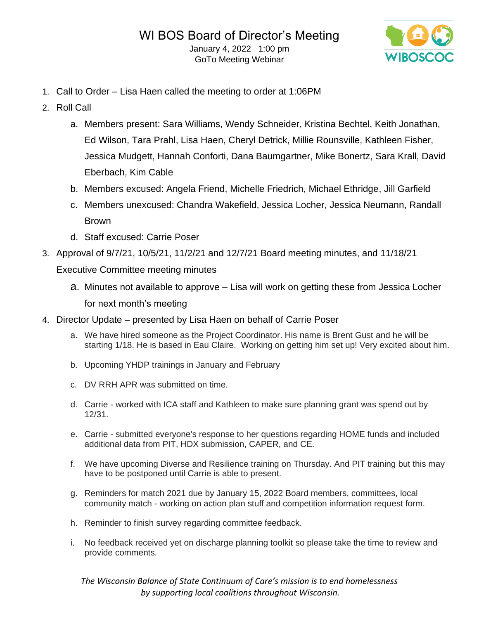

- 1. Call to Order Lisa Haen called the meeting to order at 1:06PM
- 2. Roll Call
	- a. Members present: Sara Williams, Wendy Schneider, Kristina Bechtel, Keith Jonathan, Ed Wilson, Tara Prahl, Lisa Haen, Cheryl Detrick, Millie Rounsville, Kathleen Fisher, Jessica Mudgett, Hannah Conforti, Dana Baumgartner, Mike Bonertz, Sara Krall, David Eberbach, Kim Cable
	- b. Members excused: Angela Friend, Michelle Friedrich, Michael Ethridge, Jill Garfield
	- c. Members unexcused: Chandra Wakefield, Jessica Locher, Jessica Neumann, Randall Brown
	- d. Staff excused: Carrie Poser
- 3. Approval of 9/7/21, 10/5/21, 11/2/21 and 12/7/21 Board meeting minutes, and 11/18/21 Executive Committee meeting minutes
	- a. Minutes not available to approve Lisa will work on getting these from Jessica Locher for next month's meeting
- 4. Director Update presented by Lisa Haen on behalf of Carrie Poser
	- a. We have hired someone as the Project Coordinator. His name is Brent Gust and he will be starting 1/18. He is based in Eau Claire. Working on getting him set up! Very excited about him.
	- b. Upcoming YHDP trainings in January and February
	- c. DV RRH APR was submitted on time.
	- d. Carrie worked with ICA staff and Kathleen to make sure planning grant was spend out by 12/31.
	- e. Carrie submitted everyone's response to her questions regarding HOME funds and included additional data from PIT, HDX submission, CAPER, and CE.
	- f. We have upcoming Diverse and Resilience training on Thursday. And PIT training but this may have to be postponed until Carrie is able to present.
	- g. Reminders for match 2021 due by January 15, 2022 Board members, committees, local community match - working on action plan stuff and competition information request form.
	- h. Reminder to finish survey regarding committee feedback.
	- i. No feedback received yet on discharge planning toolkit so please take the time to review and provide comments.

## *The Wisconsin Balance of State Continuum of Care's mission is to end homelessness by supporting local coalitions throughout Wisconsin.*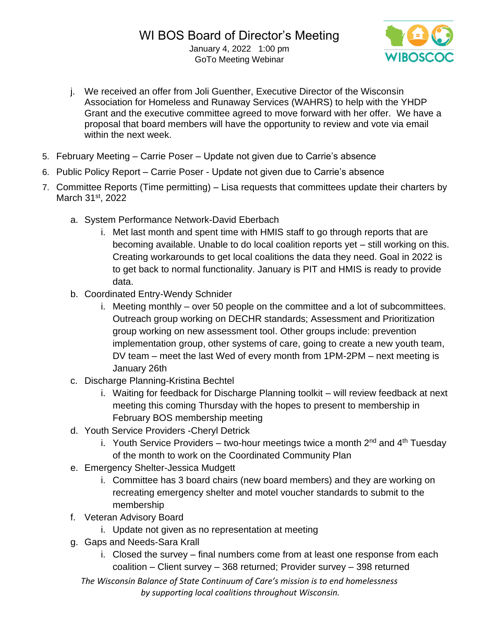

- j. We received an offer from Joli Guenther, Executive Director of the Wisconsin Association for Homeless and Runaway Services (WAHRS) to help with the YHDP Grant and the executive committee agreed to move forward with her offer. We have a proposal that board members will have the opportunity to review and vote via email within the next week.
- 5. February Meeting Carrie Poser Update not given due to Carrie's absence
- 6. Public Policy Report Carrie Poser Update not given due to Carrie's absence
- 7. Committee Reports (Time permitting) Lisa requests that committees update their charters by March 31<sup>st</sup>, 2022
	- a. System Performance Network-David Eberbach
		- i. Met last month and spent time with HMIS staff to go through reports that are becoming available. Unable to do local coalition reports yet – still working on this. Creating workarounds to get local coalitions the data they need. Goal in 2022 is to get back to normal functionality. January is PIT and HMIS is ready to provide data.
	- b. Coordinated Entry-Wendy Schnider
		- i. Meeting monthly over 50 people on the committee and a lot of subcommittees. Outreach group working on DECHR standards; Assessment and Prioritization group working on new assessment tool. Other groups include: prevention implementation group, other systems of care, going to create a new youth team, DV team – meet the last Wed of every month from 1PM-2PM – next meeting is January 26th
	- c. Discharge Planning-Kristina Bechtel
		- i. Waiting for feedback for Discharge Planning toolkit will review feedback at next meeting this coming Thursday with the hopes to present to membership in February BOS membership meeting
	- d. Youth Service Providers -Cheryl Detrick
		- i. Youth Service Providers two-hour meetings twice a month  $2^{nd}$  and  $4^{th}$  Tuesday of the month to work on the Coordinated Community Plan
	- e. Emergency Shelter-Jessica Mudgett
		- i. Committee has 3 board chairs (new board members) and they are working on recreating emergency shelter and motel voucher standards to submit to the membership
	- f. Veteran Advisory Board
		- i. Update not given as no representation at meeting
	- g. Gaps and Needs-Sara Krall
		- i. Closed the survey final numbers come from at least one response from each coalition – Client survey – 368 returned; Provider survey – 398 returned
		- *The Wisconsin Balance of State Continuum of Care's mission is to end homelessness by supporting local coalitions throughout Wisconsin.*